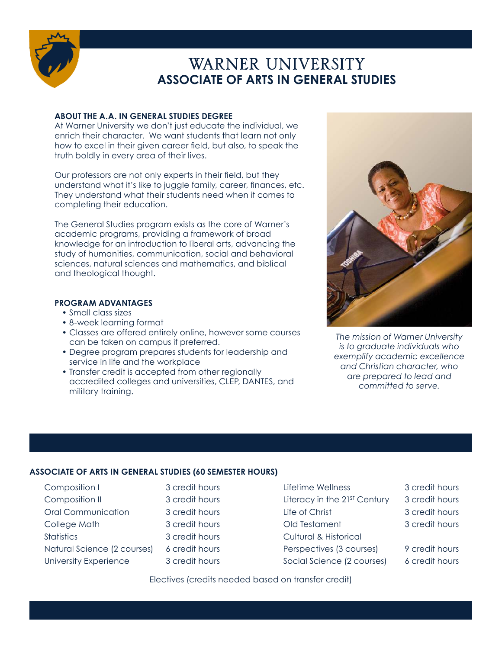

# WARNER UNIVERSITY **ASSOCIATE OF ARTS IN GENERAL STUDIES**

# **ABOUT THE A.A. IN GENERAL STUDIES DEGREE**

At Warner University we don't just educate the individual, we enrich their character. We want students that learn not only how to excel in their given career field, but also, to speak the truth boldly in every area of their lives.

Our professors are not only experts in their field, but they understand what it's like to juggle family, career, finances, etc. They understand what their students need when it comes to completing their education.

The General Studies program exists as the core of Warner's academic programs, providing a framework of broad knowledge for an introduction to liberal arts, advancing the study of humanities, communication, social and behavioral sciences, natural sciences and mathematics, and biblical and theological thought.

# **PROGRAM ADVANTAGES**

- Small class sizes
- 8-week learning format
- Classes are offered entirely online, however some courses can be taken on campus if preferred.
- Degree program prepares students for leadership and service in life and the workplace
- Transfer credit is accepted from other regionally accredited colleges and universities, CLEP, DANTES, and military training.



*The mission of Warner University is to graduate individuals who exemplify academic excellence and Christian character, who are prepared to lead and committed to serve.*

# **ASSOCIATE OF ARTS IN GENERAL STUDIES (60 SEMESTER HOURS)**

Composition I Composition II Oral Communication College Math **Statistics** Natural Science (2 courses) University Experience

3 credit hours 3 credit hours 3 credit hours 3 credit hours 3 credit hours 6 credit hours 3 credit hours

- Lifetime Wellness Literacy in the 21<sup>ST</sup> Century Life of Christ Old Testament Cultural & Historical Perspectives (3 courses) Social Science (2 courses)
- 3 credit hours
- 3 credit hours
- 3 credit hours
- 3 credit hours
- 9 credit hours 6 credit hours

Electives (credits needed based on transfer credit)